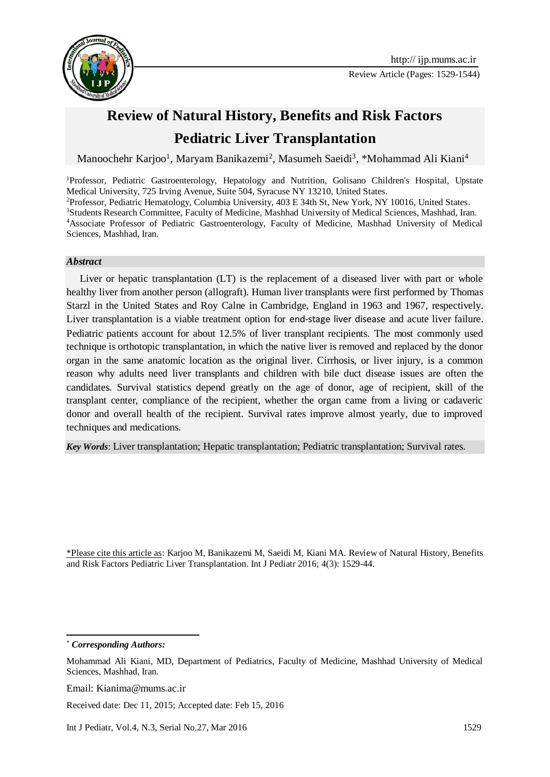

# **Review of Natural History, Benefits and Risk Factors Pediatric Liver Transplantation**

Manoochehr Karjoo<sup>1</sup>, Maryam Banikazemi<sup>2</sup>, Masumeh Saeidi<sup>3</sup>, \*Mohammad Ali Kiani<sup>4</sup>

Professor, Pediatric Gastroenterology, Hepatology and Nutrition, Golisano Children's Hospital, Upstate Medical University, 725 Irving Avenue, Suite 504, Syracuse NY 13210, United States. Professor, Pediatric Hematology, Columbia University, 403 E 34th St, New York, NY 10016, United States. Students Research Committee, Faculty of Medicine, Mashhad University of Medical Sciences, Mashhad, Iran. Associate Professor of Pediatric Gastroenterology, Faculty of Medicine, Mashhad University of Medical Sciences, Mashhad, Iran.

#### *Abstract*

Liver or hepatic transplantation (LT) is the replacement of a [diseased liver](https://en.wikipedia.org/wiki/Liver_disease) with part or whole healthy [liver](https://en.wikipedia.org/wiki/Liver) from another person [\(allograft\)](https://en.wikipedia.org/wiki/Allograft). Human liver transplants were first performed by [Thomas](https://en.wikipedia.org/wiki/Thomas_Starzl)  [Starzl](https://en.wikipedia.org/wiki/Thomas_Starzl) in the [United States](https://en.wikipedia.org/wiki/United_States) and [Roy Calne](https://en.wikipedia.org/wiki/Roy_Calne) in [Cambridge,](https://en.wikipedia.org/wiki/Cambridge) [England](https://en.wikipedia.org/wiki/England) in 1963 and 1967, respectively. Liver transplantation is a viable treatment option for [end-stage liver disease](https://en.wikipedia.org/wiki/Cirrhosis) and [acute liver failure.](https://en.wikipedia.org/wiki/Acute_liver_failure) Pediatric patients account for about 12.5% of liver transplant recipients. The most commonly used technique is orthotopic transplantation, in which the native liver is removed and replaced by the donor organ in the same anatomic location as the original liver. Cirrhosis, or liver injury, is a common reason why adults need liver transplants and children with bile duct disease issues are often the candidates. Survival statistics depend greatly on the age of donor, age of recipient, skill of the transplant center, compliance of the recipient, whether the organ came from a living or cadaveric donor and overall health of the recipient. Survival rates improve almost yearly, due to improved techniques and medications.

*Key Words*: Liver transplantation; Hepatic transplantation; Pediatric transplantation; Survival rates.

\*Please cite this article as: Karjoo M, Banikazemi M, Saeidi M, Kiani MA. Review of Natural History, Benefits and Risk Factors Pediatric Liver Transplantation. Int J Pediatr 2016; 4(3): 1529-44.

<sup>1</sup> \* *Corresponding Authors:*

Mohammad Ali Kiani, MD, Department of Pediatrics, Faculty of Medicine, Mashhad University of Medical Sciences, Mashhad, Iran.

Email: Kianima@mums.ac.ir

Received date: Dec 11, 2015; Accepted date: Feb 15, 2016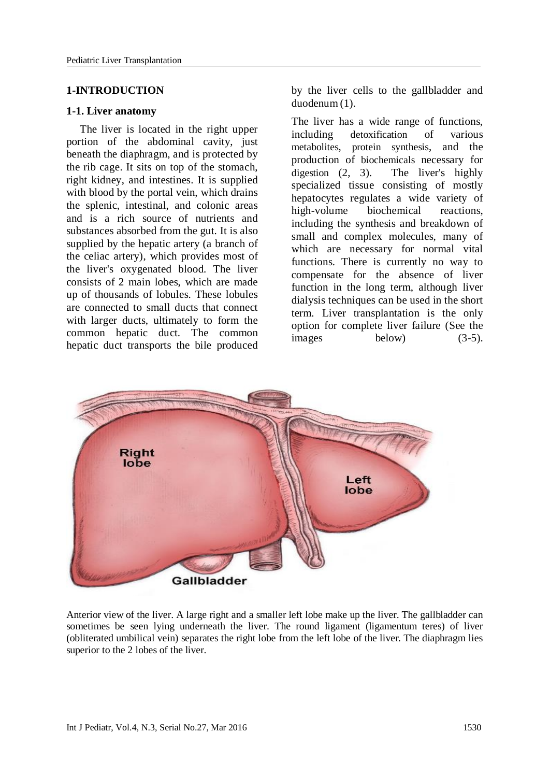#### **1-INTRODUCTION**

#### **1-1. Liver anatomy**

The liver is located in the right upper portion of the abdominal cavity, just beneath the diaphragm, and is protected by the rib cage. It sits on top of the stomach, right kidney, and intestines. It is supplied with blood by the portal vein, which drains the splenic, intestinal, and colonic areas and is a rich source of nutrients and substances absorbed from the gut. It is also supplied by the hepatic artery (a branch of the celiac artery), which provides most of the liver's oxygenated blood. The liver consists of 2 main lobes, which are made up of thousands of lobules. These lobules are connected to small ducts that connect with larger ducts, ultimately to form the common hepatic duct. The common hepatic duct transports the bile produced

by the liver cells to the gallbladder and duodenu[m](javascript:showrefcontent() (1).

The liver has a wide range of functions, including [detoxification](https://en.wikipedia.org/wiki/Detoxification) of various [metabolites](https://en.wikipedia.org/wiki/Metabolite), [protein synthesis](https://en.wikipedia.org/wiki/Protein_synthesis), and the production of [biochemicals](https://en.wikipedia.org/wiki/Biochemical) necessary for [digestion](https://en.wikipedia.org/wiki/Digestion) (2, 3). The liver's highly specialized [tissue](https://en.wikipedia.org/wiki/Biological_tissue) consisting of mostly [hepatocytes](https://en.wikipedia.org/wiki/Hepatocyte) regulates a wide variety of high-volume biochemical reactions, including the synthesis and breakdown of small and complex molecules, many of which are necessary for normal vital functions. There is currently no way to compensate for the absence of liver function in the long term, although [liver](https://en.wikipedia.org/wiki/Liver_dialysis)  [dialysis](https://en.wikipedia.org/wiki/Liver_dialysis) techniques can be used in the short term. [Liver transplantation](https://en.wikipedia.org/wiki/Liver_transplantation) is the only option for complete [liver failure](https://en.wikipedia.org/wiki/Liver_failure) (See the images below) (3-5).



Anterior view of the liver. A large right and a smaller left lobe make up the liver. The gallbladder can sometimes be seen lying underneath the liver. The round ligament (ligamentum teres) of liver (obliterated umbilical vein) separates the right lobe from the left lobe of the liver. The diaphragm lies superior to the 2 lobes of the liver.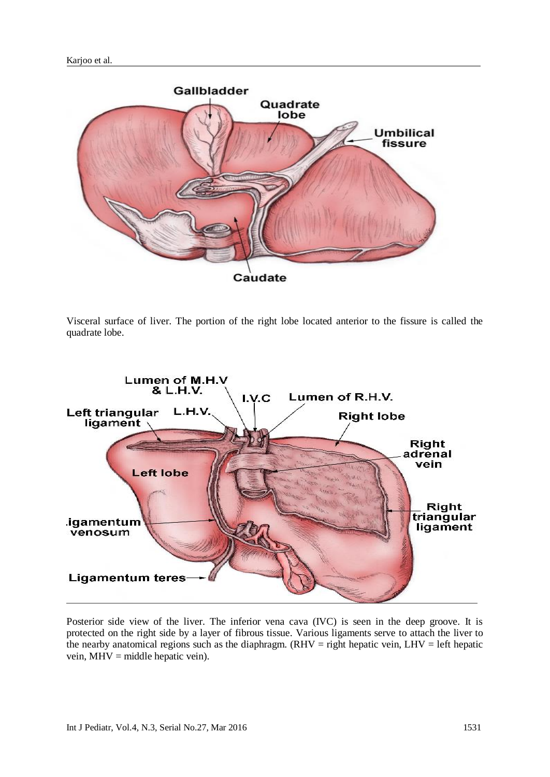

Visceral surface of liver. The portion of the right lobe located anterior to the fissure is called the quadrate lobe.



Posterior side view of the liver. The inferior vena cava (IVC) is seen in the deep groove. It is protected on the right side by a layer of fibrous tissue. Various ligaments serve to attach the liver to the nearby anatomical regions such as the diaphragm. ( $RHV =$  right hepatic vein,  $LHV =$  left hepatic vein, MHV = middle hepatic vein).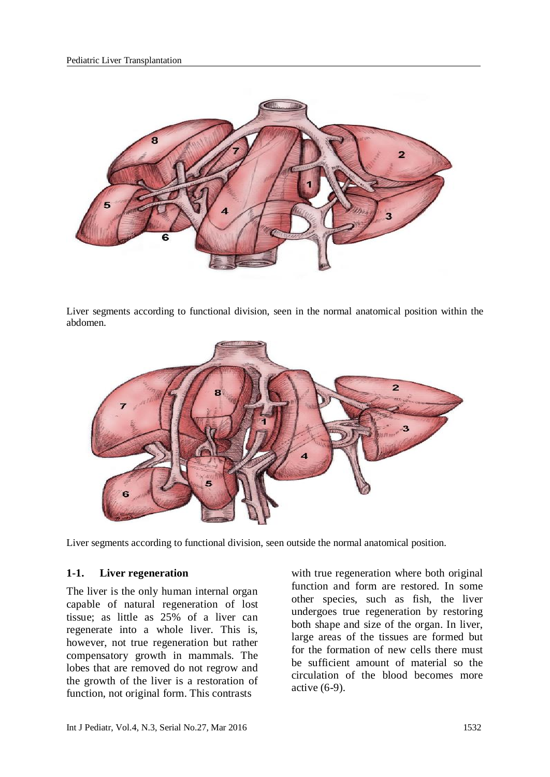

Liver segments according to functional division, seen in the normal anatomical position within the abdomen.



Liver segments according to functional division, seen outside the normal anatomical position.

#### **1-1. Liver regeneration**

The liver is the only human internal organ capable of natural [regeneration](https://en.wikipedia.org/wiki/Regeneration_(biology)) of lost [tissue;](https://en.wikipedia.org/wiki/Biological_tissue) as little as 25% of a liver can regenerate into a whole liver. This is, however, not true regeneration but rather [compensatory growth](https://en.wikipedia.org/wiki/Compensatory_growth_(organ)) in mammals. The lobes that are removed do not regrow and the growth of the liver is a restoration of function, not original form. This contrasts

with true regeneration where both original function and form are restored. In some other species, such as fish, the liver undergoes true regeneration by restoring both shape and size of the organ. In liver, large areas of the tissues are formed but for the formation of new cells there must be sufficient amount of material so the circulation of the blood becomes more active (6-9).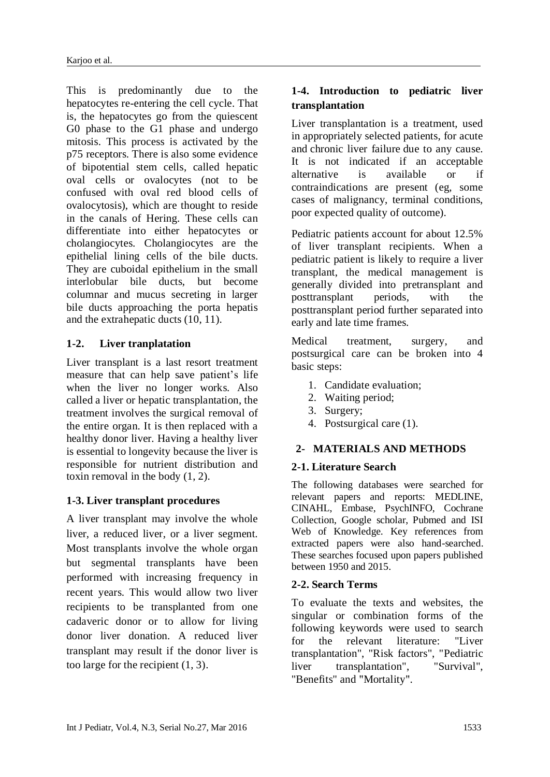This is predominantly due to the [hepatocytes](https://en.wikipedia.org/wiki/Hepatocyte) re-entering the [cell cycle.](https://en.wikipedia.org/wiki/Cell_cycle) That is, the hepatocytes go from the quiescent [G0 phase](https://en.wikipedia.org/wiki/G0_phase) to the [G1 phase](https://en.wikipedia.org/wiki/G1_phase) and undergo mitosis. This process is activated by the [p75](https://en.wikipedia.org/wiki/P75) receptors. There is also some evidence of [bipotential](https://en.wikipedia.org/wiki/Bipotential) [stem cells,](https://en.wikipedia.org/wiki/Stem_cell) called hepatic oval cells or ovalocytes (not to be confused with oval red blood cells of [ovalocytosis\)](https://en.wikipedia.org/wiki/Southeast_Asian_ovalocytosis), which are thought to reside in the [canals of Hering.](https://en.wikipedia.org/wiki/Canals_of_Hering) These cells can differentiate into either [hepatocytes](https://en.wikipedia.org/wiki/Hepatocyte) or [cholangiocytes.](https://en.wikipedia.org/wiki/Cholangiocyte) Cholangiocytes are the [epithelial lining cells](https://en.wikipedia.org/wiki/Epithelial_cells) of the [bile ducts.](https://en.wikipedia.org/wiki/Bile_duct) They are cuboidal epithelium in the small interlobular bile ducts, but become columnar and mucus secreting in larger bile ducts approaching the porta hepatis and the extrahepatic ducts (10, 11).

# **1-2. Liver tranplatation**

Liver transplant is a last resort treatment measure that can help save patient's life when the liver no longer works. Also called a liver or hepatic transplantation, the treatment involves the surgical removal of the entire organ. It is then replaced with a healthy donor liver. Having a healthy liver is essential to longevity because the liver is responsible for nutrient distribution and toxin removal in the body (1, 2).

# **1-3. Liver transplant procedures**

A liver transplant may involve the whole liver, a reduced liver, or a liver segment. Most transplants involve the whole organ but segmental transplants have been performed with increasing frequency in recent years. This would allow two liver recipients to be transplanted from one cadaveric donor or to allow for living donor liver donation. A reduced liver transplant may result if the donor liver is too large for the recipient (1, 3).

# **1-4. Introduction to pediatric liver transplantation**

Liver transplantation is a treatment, used in appropriately selected patients, for acute and chronic liver failure due to any cause. It is not indicated if an acceptable alternative is available or if contraindications are present (eg, some cases of malignancy, terminal conditions, poor expected quality of outcome).

Pediatric patients account for about 12.5% of liver transplant recipients. When a pediatric patient is likely to require a liver transplant, the medical management is generally divided into pretransplant and posttransplant periods, with the posttransplant period further separated into early and late time frames.

Medical treatment, surgery, and postsurgical care can be broken into 4 basic steps:

- 1. Candidate evaluation;
- 2. Waiting period;
- 3. Surgery;
- 4. Postsurgical care (1).

### **2- MATERIALS AND METHODS**

### **2-1. Literature Search**

The following databases were searched for relevant papers and reports: MEDLINE, CINAHL, Embase, PsychINFO, Cochrane Collection, Google scholar, Pubmed and ISI Web of Knowledge. Key references from extracted papers were also hand-searched. These searches focused upon papers published between 1950 and 2015.

## **2-2. Search Terms**

To evaluate the texts and websites, the singular or combination forms of the following keywords were used to search for the relevant literature: "Liver transplantation", "Risk factors", "Pediatric liver transplantation", "Survival", "Benefits" and "Mortality".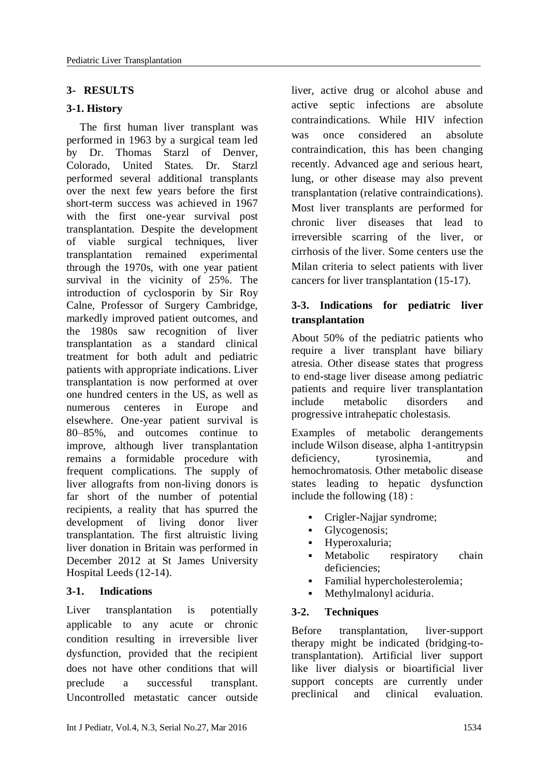# **3- RESULTS**

### **3-1. History**

The first [human](https://en.wikipedia.org/wiki/Human) liver transplant was performed in 1963 by a surgical team led by Dr. [Thomas Starzl](https://en.wikipedia.org/wiki/Thomas_Starzl) of [Denver,](https://en.wikipedia.org/wiki/Denver,_Colorado)  [Colorado,](https://en.wikipedia.org/wiki/Denver,_Colorado) United States. Dr. Starzl performed several additional transplants over the next few years before the first short-term success was achieved in 1967 with the first one-year survival post transplantation. Despite the development of viable surgical techniques, liver transplantation remained experimental through the 1970s, with one year patient survival in the vicinity of 25%. The introduction of [cyclosporin](https://en.wikipedia.org/wiki/Cyclosporin) by Sir [Roy](https://en.wikipedia.org/wiki/Roy_Calne)  [Calne,](https://en.wikipedia.org/wiki/Roy_Calne) Professor of Surgery Cambridge, markedly improved patient outcomes, and the 1980s saw recognition of liver transplantation as a standard clinical treatment for both adult and pediatric patients with appropriate indications. Liver transplantation is now performed at over one hundred centers in the US, as well as numerous centeres in Europe and elsewhere. One-year patient survival is 80–85%, and outcomes continue to improve, although liver transplantation remains a formidable procedure with frequent complications. The supply of [liver](https://en.wikipedia.org/wiki/Liver) [allografts](https://en.wikipedia.org/wiki/Allograft) from non-living donors is far short of the number of potential recipients, a reality that has spurred the development of [living donor liver](https://en.wikipedia.org/wiki/Liver_transplantation#Living_donor_transplantation)  [transplantation.](https://en.wikipedia.org/wiki/Liver_transplantation#Living_donor_transplantation) The first altruistic living liver donation in Britain was performed in December 2012 at St James University Hospital Leeds (12-14).

### **3-1. Indications**

Liver transplantation is potentially applicable to any acute or chronic condition resulting in irreversible liver dysfunction, provided that the recipient does not have other conditions that will preclude a successful transplant. Uncontrolled metastatic cancer outside

liver, active drug or alcohol abuse and active septic infections are absolute contraindications. While [HIV](https://en.wikipedia.org/wiki/HIV/AIDS) infection was once considered an [absolute](https://en.wikipedia.org/wiki/Absolute_contraindication)  [contraindication,](https://en.wikipedia.org/wiki/Absolute_contraindication) this has been changing recently. Advanced age and serious heart, lung, or other disease may also prevent transplantation [\(relative contraindications\)](https://en.wikipedia.org/wiki/Relative_contraindication). Most liver transplants are performed for chronic liver diseases that lead to irreversible scarring of the liver, or [cirrhosis of the liver.](https://en.wikipedia.org/wiki/Cirrhosis_of_the_liver) Some centers use the [Milan criteria](https://en.wikipedia.org/wiki/Milan_criteria) to select patients with liver cancers for liver transplantation (15-17).

# **3-3. Indications for pediatric liver transplantation**

About 50% of the pediatric patients who require a liver transplant have biliary atresia. Other disease states that progress to end-stage liver disease among pediatric patients and require liver transplantation include metabolic disorders and progressive intrahepatic cholestasis.

Examples of metabolic derangements include Wilson disease, alpha 1-antitrypsin deficiency, tyrosinemia, and hemochromatosis. Other metabolic disease states leading to hepatic dysfunction include the following [\(18\)](javascript:showrefcontent() :

- Crigler-Najjar syndrome;
- Glycogenosis;
- Hyperoxaluria;
- Metabolic respiratory chain deficiencies;
- Familial hypercholesterolemia;
- Methylmalonyl aciduria.

# **3-2. Techniques**

Before transplantation, liver-support therapy might be indicated (bridging-totransplantation). Artificial liver support like [liver dialysis](https://en.wikipedia.org/wiki/Liver_dialysis) or bioartificial liver support concepts are currently under preclinical and clinical evaluation.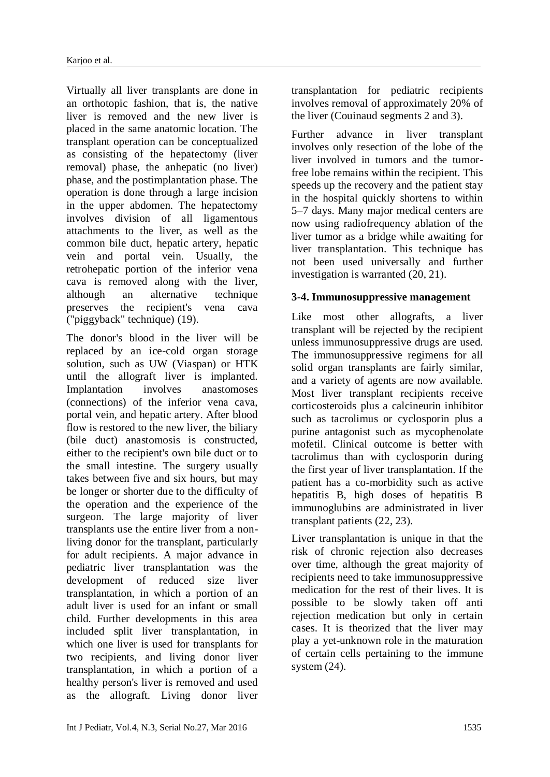Virtually all liver transplants are done in an orthotopic fashion, that is, the native liver is removed and the new liver is placed in the same anatomic location. The transplant operation can be conceptualized as consisting of the hepatectomy (liver removal) phase, the anhepatic (no liver) phase, and the postimplantation phase. The operation is done through a large incision in the upper abdomen. The hepatectomy involves division of all ligamentous attachments to the liver, as well as the common bile duct, hepatic artery, hepatic vein and portal vein. Usually, the retrohepatic portion of the inferior vena cava is removed along with the liver, although an alternative technique preserves the recipient's vena cava ("piggyback" technique) (19).

The donor's blood in the liver will be replaced by an ice-cold organ storage solution, such as UW (Viaspan) or HTK until the allograft liver is implanted. Implantation involves anastomoses (connections) of the inferior vena cava, portal vein, and hepatic artery. After blood flow is restored to the new liver, the biliary (bile duct) anastomosis is constructed, either to the recipient's own bile duct or to the small intestine. The surgery usually takes between five and six hours, but may be longer or shorter due to the difficulty of the operation and the experience of the surgeon. The large majority of liver transplants use the entire liver from a nonliving donor for the transplant, particularly for adult recipients. A major advance in pediatric liver transplantation was the development of reduced size liver transplantation, in which a portion of an adult liver is used for an infant or small child. Further developments in this area included split liver transplantation, in which one liver is used for transplants for two recipients, and living donor liver transplantation, in which a portion of a healthy person's liver is removed and used as the allograft. Living donor liver

transplantation for pediatric recipients involves removal of approximately 20% of the liver (Couinaud segments 2 and 3).

Further advance in liver transplant involves only resection of the lobe of the liver involved in tumors and the tumorfree lobe remains within the recipient. This speeds up the recovery and the patient stay in the hospital quickly shortens to within 5–7 days. Many major medical centers are now using radiofrequency ablation of the liver tumor as a bridge while awaiting for liver transplantation. This technique has not been used universally and further investigation is warranted (20, 21).

### **3-4. Immunosuppressive management**

Like most other allografts, a liver transplant will be [rejected](https://en.wikipedia.org/wiki/Transplant_rejection) by the recipient unless [immunosuppressive](https://en.wikipedia.org/wiki/Immunosuppression) drugs are used. The immunosuppressive regimens for all solid organ transplants are fairly similar, and a variety of agents are now available. Most liver transplant recipients receive [corticosteroids](https://en.wikipedia.org/wiki/Corticosteroid) plus a calcineurin inhibitor such as [tacrolimus](https://en.wikipedia.org/wiki/Tacrolimus) or [cyclosporin](https://en.wikipedia.org/wiki/Cyclosporin) plus a purine antagonist such as [mycophenolate](https://en.wikipedia.org/wiki/Mycophenolic_acid)  [mofetil.](https://en.wikipedia.org/wiki/Mycophenolic_acid) Clinical outcome is better with [tacrolimus](https://en.wikipedia.org/wiki/Tacrolimus) than with [cyclosporin](https://en.wikipedia.org/wiki/Cyclosporin) during the first year of liver transplantation. If the patient has a co-morbidity such as active hepatitis B, high doses of hepatitis B immunoglubins are administrated in liver transplant patients (22, 23).

Liver transplantation is unique in that the risk of chronic rejection also decreases over time, although the great majority of recipients need to take immunosuppressive medication for the rest of their lives. It is possible to be slowly taken off anti rejection medication but only in certain cases. It is theorized that the liver may play a yet-unknown role in the maturation of certain cells pertaining to the immune system (24).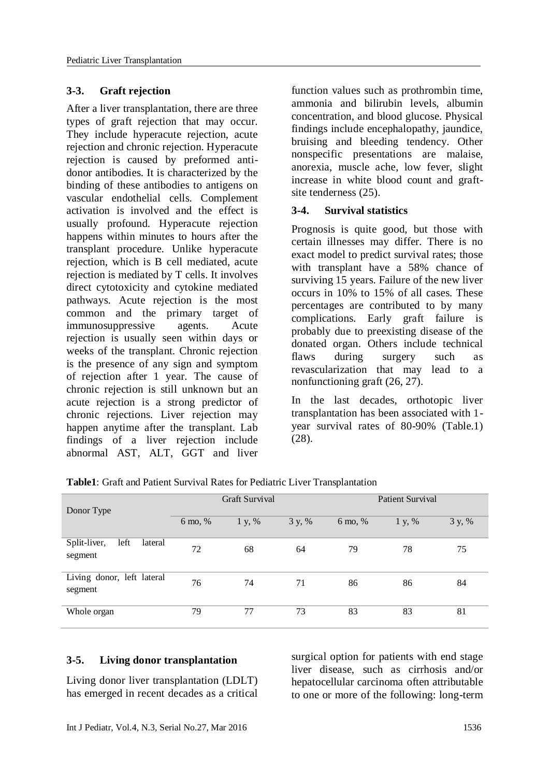#### **3-3. Graft rejection**

After a liver transplantation, there are three types of graft rejection that may occur. They include hyperacute rejection, acute rejection and chronic rejection. Hyperacute rejection is caused by preformed antidonor antibodies. It is characterized by the binding of these antibodies to antigens on vascular endothelial cells. [Complement](https://en.wikipedia.org/wiki/Complement_system)  [activation](https://en.wikipedia.org/wiki/Complement_system) is involved and the effect is usually profound. Hyperacute rejection happens within minutes to hours after the transplant procedure. Unlike hyperacute rejection, which is B cell mediated, acute rejection is mediated by T cells. It involves direct cytotoxicity and cytokine mediated pathways. Acute rejection is the most common and the primary target of immunosuppressive agents. Acute rejection is usually seen within days or weeks of the transplant. Chronic rejection is the presence of any sign and symptom of rejection after 1 year. The cause of chronic rejection is still unknown but an acute rejection is a strong predictor of chronic rejections. Liver rejection may happen anytime after the transplant. Lab findings of a liver rejection include abnormal AST, ALT, GGT and liver function values such as prothrombin time, ammonia and bilirubin levels, albumin concentration, and blood glucose. Physical findings include encephalopathy, jaundice, bruising and bleeding tendency. Other nonspecific presentations are malaise, anorexia, muscle ache, low fever, slight increase in white blood count and graftsite tenderness (25).

#### **3-4. Survival statistics**

Prognosis is quite good, but those with certain illnesses may differ. There is no exact model to predict survival rates; those with transplant have a 58% chance of surviving 15 years. Failure of the new liver occurs in 10% to 15% of all cases. These percentages are contributed to by many complications. Early graft failure is probably due to preexisting disease of the donated organ. Others include technical flaws during surgery such as revascularization that may lead to a nonfunctioning graft (26, 27).

In the last decades, orthotopic liver transplantation has been associated with 1 year survival rates of 80-90% (Table.1) (28).

|                                            | <b>Graft Survival</b> |        |        | Patient Survival |        |        |
|--------------------------------------------|-----------------------|--------|--------|------------------|--------|--------|
| Donor Type                                 |                       |        |        |                  |        |        |
|                                            | 6 mo, %               | 1 y, % | 3 y, % | 6 mo, %          | 1 y, % | 3 y, % |
|                                            |                       |        |        |                  |        |        |
| left<br>Split-liver,<br>lateral<br>segment | 72                    | 68     | 64     | 79               | 78     | 75     |
| Living donor, left lateral<br>segment      | 76                    | 74     | 71     | 86               | 86     | 84     |
| Whole organ                                | 79                    | 77     | 73     | 83               | 83     | 81     |

**Table1**: Graft and Patient Survival Rates for Pediatric Liver Transplantation

#### **3-5. Living donor transplantation**

Living donor liver transplantation (LDLT) has emerged in recent decades as a critical [surgical](https://en.wikipedia.org/wiki/Surgery) option for patients with end stage liver disease, such as [cirrhosis](https://en.wikipedia.org/wiki/Cirrhosis) and/or [hepatocellular carcinoma](https://en.wikipedia.org/wiki/Hepatocellular_carcinoma) often attributable to one or more of the following: long-term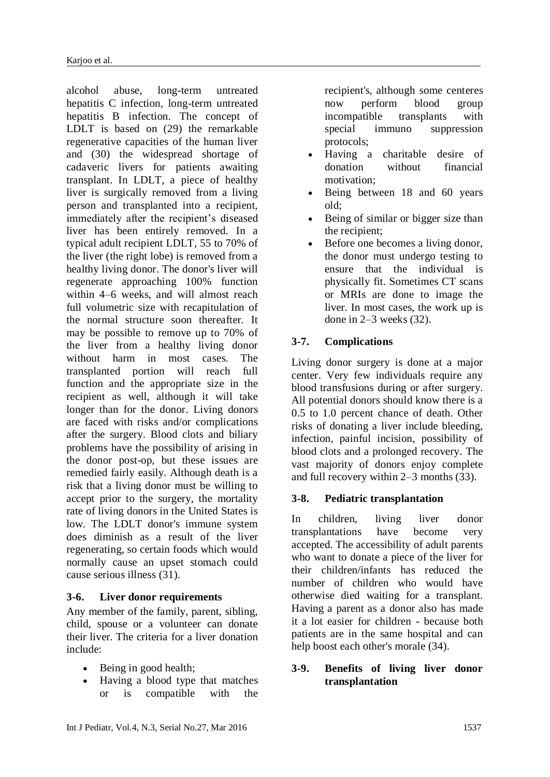[alcohol abuse,](https://en.wikipedia.org/wiki/Alcoholism) long-term untreated [hepatitis C](https://en.wikipedia.org/wiki/Hepatitis_C) infection, long-term untreated [hepatitis B](https://en.wikipedia.org/wiki/Hepatitis_B) infection. The concept of LDLT is based on (29) the remarkable regenerative capacities of the human liver and (30) the widespread shortage of [cadaveric](https://en.wikipedia.org/wiki/Cadaver) livers for patients awaiting [transplant.](https://en.wikipedia.org/wiki/Organ_transplant) In LDLT, a piece of healthy liver is surgically removed from a living person and transplanted into a recipient, immediately after the recipient's diseased liver has been entirely removed. In a typical adult recipient LDLT, 55 to 70% of the liver (the right lobe) is removed from a healthy living donor. The donor's liver will regenerate approaching 100% function within 4–6 weeks, and will almost reach full volumetric size with recapitulation of the normal structure soon thereafter. It may be possible to remove up to 70% of the liver from a healthy living donor without harm in most cases. The transplanted portion will reach full function and the appropriate size in the recipient as well, although it will take longer than for the donor. Living donors are faced with risks and/or complications after the surgery. Blood clots and biliary problems have the possibility of arising in the donor post-op, but these issues are remedied fairly easily. Although death is a risk that a living donor must be willing to accept prior to the surgery, the mortality rate of living donors in the United States is low. The LDLT donor's immune system does diminish as a result of the liver regenerating, so certain foods which would normally cause an upset stomach could cause serious illness (31).

### **3-6. Liver donor requirements**

Any member of the family, parent, sibling, child, spouse or a volunteer can donate their liver. The criteria for a liver donation include:

- Being in good health;
- Having a blood type that matches or is compatible with the

recipient's, although some centeres now perform blood group incompatible transplants with special immuno suppression protocols;

- Having a charitable desire of donation without financial motivation;
- Being between 18 and 60 years old;
- Being of similar or bigger size than the recipient;
- Before one becomes a living donor, the donor must undergo testing to ensure that the individual is physically fit. Sometimes CT scans or MRIs are done to image the liver. In most cases, the work up is done in 2–3 weeks (32).

### **3-7. Complications**

Living donor surgery is done at a major center. Very few individuals require any [blood transfusions](https://en.wikipedia.org/wiki/Blood_transfusions) during or after surgery. All potential donors should know there is a 0.5 to 1.0 percent chance of death. Other risks of donating a liver include bleeding, infection, painful incision, possibility of [blood clots](https://en.wikipedia.org/wiki/Blood_clots) and a prolonged recovery. The vast majority of donors enjoy complete and full recovery within 2–3 months (33).

### **3-8. Pediatric transplantation**

In children, living liver donor transplantations have become very accepted. The accessibility of adult parents who want to donate a piece of the liver for their children/infants has reduced the number of children who would have otherwise died waiting for a transplant. Having a parent as a donor also has made it a lot easier for children - because both patients are in the same hospital and can help boost each other's morale (34).

#### **3-9. Benefits of living liver donor transplantation**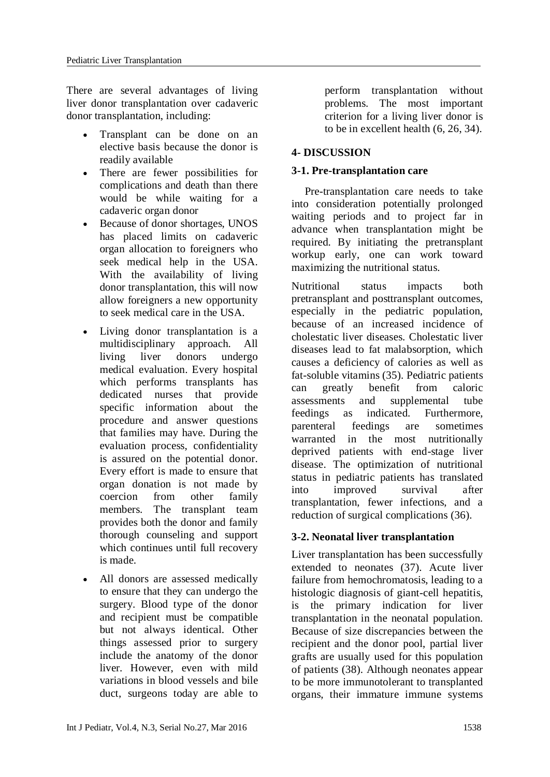There are several advantages of living liver donor transplantation over cadaveric donor transplantation, including:

- Transplant can be done on an elective basis because the donor is readily available
- There are fewer possibilities for complications and death than there would be while waiting for a cadaveric organ donor
- Because of donor shortages, UNOS has placed limits on cadaveric organ allocation to foreigners who seek medical help in the USA. With the availability of living donor transplantation, this will now allow foreigners a new opportunity to seek medical care in the USA.
- Living donor transplantation is a multidisciplinary approach. All living liver donors undergo medical evaluation. Every hospital which performs transplants has dedicated nurses that provide specific information about the procedure and answer questions that families may have. During the evaluation process, confidentiality is assured on the potential donor. Every effort is made to ensure that organ donation is not made by coercion from other family members. The transplant team provides both the donor and family thorough counseling and support which continues until full recovery is made.
- All donors are assessed medically to ensure that they can undergo the surgery. Blood type of the donor and recipient must be compatible but not always identical. Other things assessed prior to surgery include the anatomy of the donor liver. However, even with mild variations in blood vessels and bile duct, surgeons today are able to

perform transplantation without problems. The most important criterion for a living liver donor is to be in excellent health (6, 26, 34).

## **4- DISCUSSION**

### **3-1. Pre-transplantation care**

Pre-transplantation care needs to take into consideration potentially prolonged waiting periods and to project far in advance when transplantation might be required. By initiating the pretransplant workup early, one can work toward maximizing the nutritional status.

Nutritional status impacts both pretransplant and posttransplant outcomes, especially in the pediatric population, because of an increased incidence of cholestatic liver diseases. Cholestatic liver diseases lead to fat malabsorption, which causes a deficiency of calories as well as fat-soluble vitamins (35). Pediatric patients can greatly benefit from caloric assessments and supplemental tube feedings as indicated. Furthermore, parenteral feedings are sometimes warranted in the most nutritionally deprived patients with end-stage liver disease. The optimization of nutritional status in pediatric patients has translated into improved survival after transplantation, fewer infections, and a reduction of surgical complications (36).

### **3-2. Neonatal liver transplantation**

Liver transplantation has been successfully extended to neonates (37). Acute liver failure from hemochromatosis, leading to a histologic diagnosis of giant-cell hepatitis, is the primary indication for liver transplantation in the neonatal population. Because of size discrepancies between the recipient and the donor pool, partial liver grafts are usually used for this population of patients (38). Although neonates appear to be more immunotolerant to transplanted organs, their immature immune systems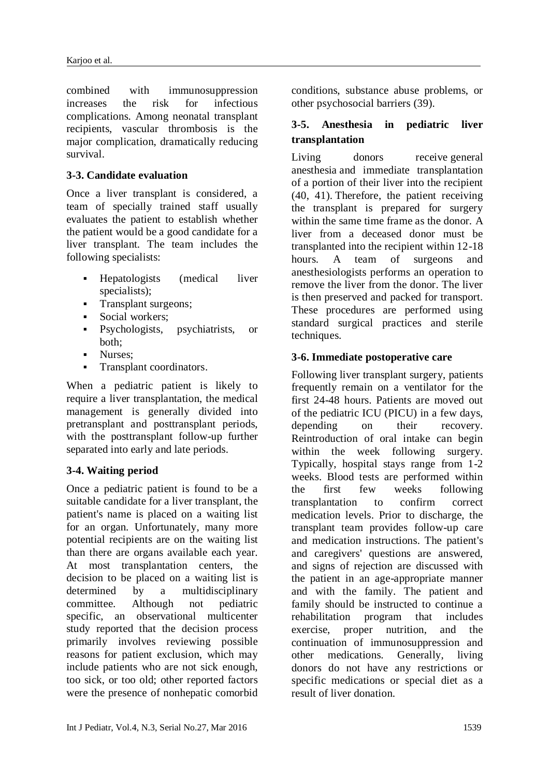combined with immunosuppression increases the risk for infectious complications. Among neonatal transplant recipients, vascular thrombosis is the major complication, dramatically reducing survival.

## **3-3. Candidate evaluation**

Once a liver transplant is considered, a team of specially trained staff usually evaluates the patient to establish whether the patient would be a good candidate for a liver transplant. The team includes the following specialists:

- Hepatologists (medical liver specialists);
- **Transplant surgeons:**
- Social workers;
- Psychologists, psychiatrists, or both;
- Nurses;
- **Transplant coordinators.**

When a pediatric patient is likely to require a liver transplantation, the medical management is generally divided into pretransplant and posttransplant periods, with the posttransplant follow-up further separated into early and late periods.

### **3-4. Waiting period**

Once a pediatric patient is found to be a suitable candidate for a liver transplant, the patient's name is placed on a waiting list for an organ. Unfortunately, many more potential recipients are on the waiting list than there are organs available each year. At most transplantation centers, the decision to be placed on a waiting list is determined by a multidisciplinary committee. Although not pediatric specific, an observational multicenter study reported that the decision process primarily involves reviewing possible reasons for patient exclusion, which may include patients who are not sick enough, too sick, or too old; other reported factors were the presence of nonhepatic comorbid

conditions, substance abuse problems, or other psychosocial barriers (39).

# **3-5. Anesthesia in pediatric liver transplantation**

Living donors receive [general](http://emedicine.medscape.com/article/1271543-overview)  [anesthesia](http://emedicine.medscape.com/article/1271543-overview) and immediate transplantation of a portion of their liver into the recipient (40, 41)[.](javascript:showrefcontent() Therefore, the patient receiving the transplant is prepared for surgery within the same time frame as the donor. A liver from a deceased donor must be transplanted into the recipient within 12-18 hours. A team of surgeons and anesthesiologists performs an operation to remove the liver from the donor. The liver is then preserved and packed for transport. These procedures are performed using standard surgical practices and sterile techniques.

# **3-6. Immediate postoperative care**

Following liver transplant surgery, patients frequently remain on a ventilator for the first 24-48 hours. Patients are moved out of the pediatric ICU (PICU) in a few days, depending on their recovery. Reintroduction of oral intake can begin within the week following surgery. Typically, hospital stays range from 1-2 weeks. Blood tests are performed within the first few weeks following transplantation to confirm correct medication levels. Prior to discharge, the transplant team provides follow-up care and medication instructions. The patient's and caregivers' questions are answered, and signs of rejection are discussed with the patient in an age-appropriate manner and with the family. The patient and family should be instructed to continue a rehabilitation program that includes exercise, proper nutrition, and the continuation of immunosuppression and other medications. Generally, living donors do not have any restrictions or specific medications or special diet as a result of liver donation.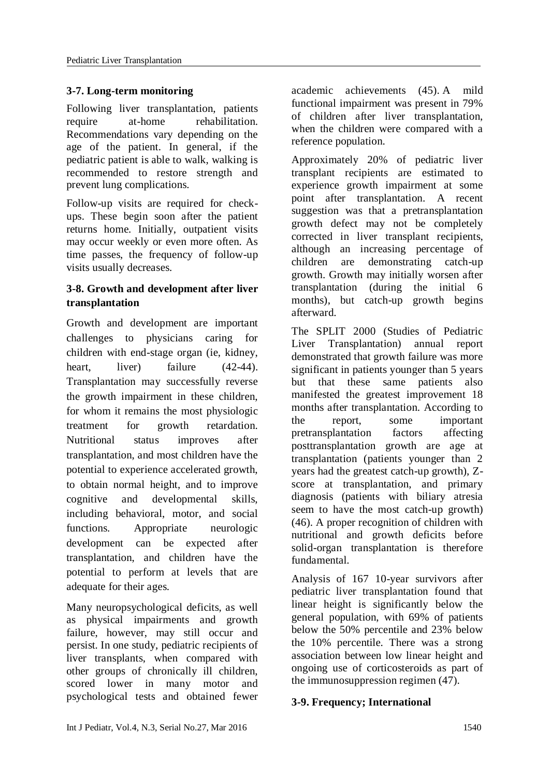# **3-7. Long-term monitoring**

Following liver transplantation, patients require at-home rehabilitation. Recommendations vary depending on the age of the patient. In general, if the pediatric patient is able to walk, walking is recommended to restore strength and prevent lung complications.

Follow-up visits are required for checkups. These begin soon after the patient returns home. Initially, outpatient visits may occur weekly or even more often. As time passes, the frequency of follow-up visits usually decreases.

# **3-8. Growth and development after liver transplantation**

Growth and development are important challenges to physicians caring for children with end-stage organ (ie, kidney, heart, liver) failure (42-44). Transplantation may successfully reverse the growth impairment in these children, for whom it remains the most physiologic treatment for growth retardation. Nutritional status improves after transplantation, and most children have the potential to experience accelerated growth, to obtain normal height, and to improve cognitive and developmental skills, including behavioral, motor, and social functions. Appropriate neurologic development can be expected after transplantation, and children have the potential to perform at levels that are adequate for their ages.

Many neuropsychological deficits, as well as physical impairments and growth failure, however, may still occur and persist. In one study, pediatric recipients of liver transplants, when compared with other groups of chronically ill children, scored lower in many motor and psychological tests and obtained fewer academic achievements (45). [A](javascript:showrefcontent() mild functional impairment was present in 79% of children after liver transplantation, when the children were compared with a reference population.

Approximately 20% of pediatric liver transplant recipients are estimated to experience growth impairment at some point after transplantation. A recent suggestion was that a pretransplantation growth defect may not be completely corrected in liver transplant recipients, although an increasing percentage of children are demonstrating catch-up growth. Growth may initially worsen after transplantation (during the initial 6 months), but catch-up growth begins afterward.

The SPLIT 2000 (Studies of Pediatric Liver Transplantation) annual report demonstrated that growth failure was more significant in patients younger than 5 years but that these same patients also manifested the greatest improvement 18 months after transplantation. According to the report, some important pretransplantation factors affecting posttransplantation growth are age at transplantation (patients younger than 2 years had the greatest catch-up growth), Zscore at transplantation, and primary diagnosis (patients with biliary atresia seem to have the most catch-up growth) (46). A proper recognition of children with nutritional and growth deficits before solid-organ transplantation is therefore fundamental.

Analysis of 167 10-year survivors after pediatric liver transplantation found that linear height is significantly below the general population, with 69% of patients below the 50% percentile and 23% below the 10% percentile. There was a strong association between low linear height and ongoing use of corticosteroids as part of the immunosuppression regimen (47).

### **3-9. Frequency; International**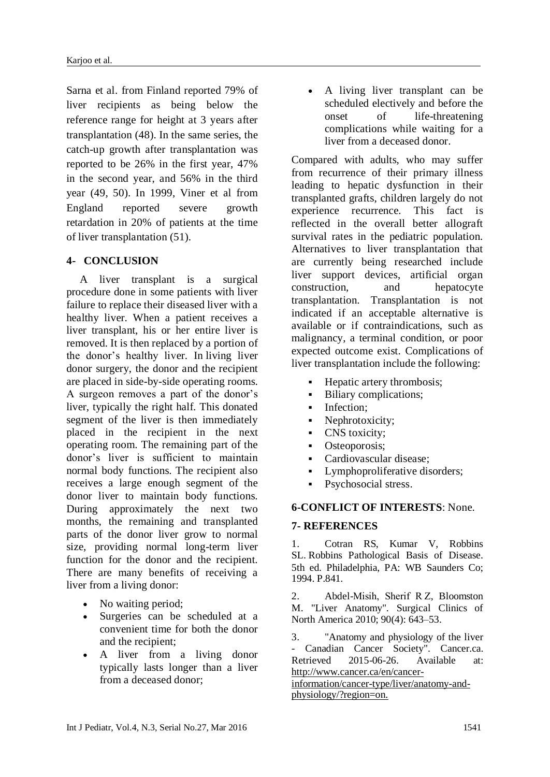Sarna et al. from Finland reported 79% of liver recipients as being below the reference range for height at 3 years after transplantation (48). In the same series, the catch-up growth after transplantation was reported to be 26% in the first year, 47% in the second year, and 56% in the third year (49, 50). In 1999, Viner et al from England reported severe growth retardation in 20% of patients at the time of liver transplantation (51).

#### **4- CONCLUSION**

A liver transplant is a surgical procedure done in some patients with liver failure to replace their diseased liver with a healthy liver. When a patient receives a liver transplant, his or her entire liver is removed. It is then replaced by a portion of the donor's healthy liver. In living liver donor surgery, the donor and the recipient are placed in side-by-side operating rooms. A surgeon removes a part of the donor's liver, typically the right half. This donated segment of the liver is then immediately placed in the recipient in the next operating room. The remaining part of the donor's liver is sufficient to maintain normal body functions. The recipient also receives a large enough segment of the donor liver to maintain body functions. During approximately the next two months, the remaining and transplanted parts of the donor liver grow to normal size, providing normal long-term liver function for the donor and the recipient. There are many benefits of receiving a liver from a living donor:

- No waiting period;
- Surgeries can be scheduled at a convenient time for both the donor and the recipient;
- A liver from a living donor typically lasts longer than a liver from a deceased donor;

 A living liver transplant can be scheduled electively and before the onset of life-threatening complications while waiting for a liver from a deceased donor.

Compared with adults, who may suffer from recurrence of their primary illness leading to hepatic dysfunction in their transplanted grafts, children largely do not experience recurrence. This fact is reflected in the overall better allograft survival rates in the pediatric population. Alternatives to liver transplantation that are currently being researched include liver support devices, artificial organ construction, and hepatocyte transplantation. Transplantation is not indicated if an acceptable alternative is available or if contraindications, such as malignancy, a terminal condition, or poor expected outcome exist. Complications of liver transplantation include the following:

- **Hepatic artery thrombosis;**
- Biliary complications;
- **Infection;**
- Nephrotoxicity;
- CNS toxicity;
- Osteoporosis:
- Cardiovascular disease;
- Lymphoproliferative disorders;
- Psychosocial stress.

#### **6-CONFLICT OF INTERESTS**: None.

#### **7- REFERENCES**

1. Cotran RS, Kumar V, Robbins SL. Robbins Pathological Basis of Disease. 5th ed. Philadelphia, PA: WB Saunders Co; 1994. P.841.

2. Abdel-Misih, Sherif R Z, Bloomston M. ["Liver Anatomy".](https://www.ncbi.nlm.nih.gov/pmc/articles/PMC4038911) Surgical Clinics of North America 2010; 90(4): 643–53.

3. ["Anatomy and physiology of the liver](http://www.cancer.ca/en/cancer-information/cancer-type/liver/anatomy-and-physiology/?region=on)  [Canadian Cancer Society".](http://www.cancer.ca/en/cancer-information/cancer-type/liver/anatomy-and-physiology/?region=on) Cancer.ca. Retrieved 2015-06-26. Available at: http://www.cancer.ca/en/cancer-

information/cancer-type/liver/anatomy-andphysiology/?region=on.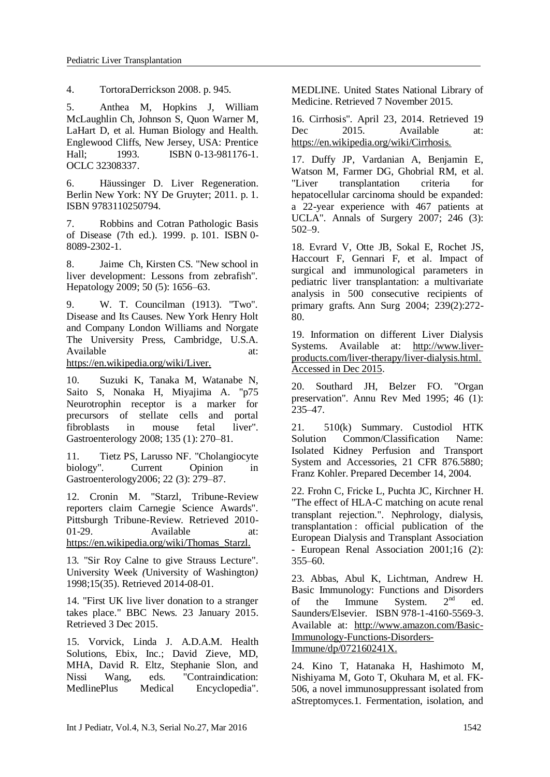4. [TortoraDerrickson 2008.](https://en.wikipedia.org/wiki/Liver#CITEREFTortoraDerrickson2008) p. 945.

5. Anthea M, Hopkins J, William McLaughlin Ch, Johnson S, Quon Warner M, LaHart D, et al. Human Biology and Health. Englewood Cliffs, New Jersey, USA: Prentice<br>Hall; 1993. ISBN 0-13-981176-1. Hall; 1993. [ISBN](https://en.wikipedia.org/wiki/International_Standard_Book_Number) [0-13-981176-1.](https://en.wikipedia.org/wiki/Special:BookSources/0-13-981176-1) [OCLC](https://en.wikipedia.org/wiki/OCLC) [32308337.](https://www.worldcat.org/oclc/32308337)

6. Häussinger D. [Liver Regeneration.](https://books.google.com/books?id=RJEg-p-9iqsC&pg=PA1) Berlin New York: NY De Gruyter; 2011. p. 1. [ISBN](https://en.wikipedia.org/wiki/International_Standard_Book_Number) [9783110250794.](https://en.wikipedia.org/wiki/Special:BookSources/9783110250794)

7. Robbins and Cotran Pathologic Basis of Disease (7th ed.). 1999. p. 101. [ISBN](https://en.wikipedia.org/wiki/International_Standard_Book_Number) [0-](https://en.wikipedia.org/wiki/Special:BookSources/0-8089-2302-1) [8089-2302-1.](https://en.wikipedia.org/wiki/Special:BookSources/0-8089-2302-1)

8. Jaime Ch, Kirsten CS. "New school in liver development: Lessons from zebrafish". Hepatology 2009; 50 (5): 1656–63.

9. W. T. Councilman (1913). "Two". [Disease and Its Causes.](http://www.gutenberg.org/catalog/world/readfile?fk_files=1499279&pageno=21) New York Henry Holt and Company London Williams and Norgate The University Press, Cambridge, U.S.A. Available at:

https://en.wikipedia.org/wiki/Liver.

10. Suzuki K, Tanaka M, Watanabe N, Saito S, Nonaka H, Miyajima A. "p75 Neurotrophin receptor is a marker for precursors of stellate cells and portal fibroblasts in mouse fetal liver". Gastroenterology 2008; 135 (1): 270–81.

11. Tietz PS, Larusso NF. "Cholangiocyte biology". Current Opinion in Gastroenterology2006; 22 (3): 279–87.

12. Cronin M. ["Starzl, Tribune-Review](http://www.pittsburghlive.com/x/pittsburghtrib/news/pittsburgh/s_664527.html)  [reporters claim Carnegie Science Awards".](http://www.pittsburghlive.com/x/pittsburghtrib/news/pittsburgh/s_664527.html) Pittsburgh Tribune-Review. Retrieved 2010- 01-29. Available at: https://en.wikipedia.org/wiki/Thomas\_Starzl.

13*.* ["Sir Roy Calne to give Strauss Lecture"](http://depts.washington.edu/uweek/archives/1998.08.AUG_20/_article14.html)*.*  University Week *(*[University of Washington](https://en.wikipedia.org/wiki/University_of_Washington)*)*  1998;15(35). Retrieved 2014-08-01*.*

14. ["First UK live liver donation to a stranger](http://www.bbc.co.uk/news/health-21143602)  [takes place."](http://www.bbc.co.uk/news/health-21143602) BBC News. 23 January 2015. Retrieved 3 Dec 2015.

15. Vorvick, Linda J. A.D.A.M. Health Solutions, Ebix, Inc.; David Zieve, MD, MHA, David R. Eltz, Stephanie Slon, and Nissi Wang, eds. ["Contraindication:](http://www.nlm.nih.gov/medlineplus/ency/article/002314.htm)  [MedlinePlus Medical Encyclopedia".](http://www.nlm.nih.gov/medlineplus/ency/article/002314.htm)

[MEDLINE.](https://en.wikipedia.org/wiki/MEDLINE) [United States National Library of](https://en.wikipedia.org/wiki/United_States_National_Library_of_Medicine)  [Medicine.](https://en.wikipedia.org/wiki/United_States_National_Library_of_Medicine) Retrieved 7 November 2015.

16. [Cirrhosis"](http://www.niddk.nih.gov/health-information/health-topics/liver-disease/cirrhosis/Pages/facts.aspx)*.* April 23*,* 2014. Retrieved 19 Dec 2015. Available at: https://en.wikipedia.org/wiki/Cirrhosis.

17. Duffy JP, Vardanian A, Benjamin E, Watson M, Farmer DG, Ghobrial RM, et al. ["Liver transplantation criteria for](https://www.ncbi.nlm.nih.gov/pmc/articles/PMC1959350)  [hepatocellular carcinoma should be expanded:](https://www.ncbi.nlm.nih.gov/pmc/articles/PMC1959350)  [a 22-year experience with 467 patients at](https://www.ncbi.nlm.nih.gov/pmc/articles/PMC1959350)  [UCLA".](https://www.ncbi.nlm.nih.gov/pmc/articles/PMC1959350) Annals of Surgery 2007; 246 (3): 502–9.

18. Evrard V, Otte JB, Sokal E, Rochet JS, Haccourt F, Gennari F, et al. Impact of surgical and immunological parameters in pediatric liver transplantation: a multivariate analysis in 500 consecutive recipients of primary grafts. Ann Surg 2004; 239(2):272- 80.

19. [Information on different Liver Dialysis](http://www.liver-products.com/liver-therapy/liver-dialysis.html)  [Systems.](http://www.liver-products.com/liver-therapy/liver-dialysis.html) Available at: [http://www.liver](http://www.liver-products.com/liver-therapy/liver-dialysis.html.%20Accessed%20in%20Dec%202015)[products.com/liver-therapy/liver-dialysis.html.](http://www.liver-products.com/liver-therapy/liver-dialysis.html.%20Accessed%20in%20Dec%202015)  [Accessed in Dec 2015.](http://www.liver-products.com/liver-therapy/liver-dialysis.html.%20Accessed%20in%20Dec%202015)

20. Southard JH, Belzer FO. "Organ preservation". Annu Rev Med 1995; 46 (1): 235–47.

21. 510(k) Summary. Custodiol HTK Solution Common/Classification Name: Isolated Kidney Perfusion and Transport System and Accessories, 21 CFR 876.5880; Franz Kohler. Prepared December 14, 2004.

22. Frohn C, Fricke L, Puchta JC, Kirchner H. ["The effect of HLA-C matching on acute renal](http://ndt.oxfordjournals.org/content/16/2/355.full)  [transplant rejection.".](http://ndt.oxfordjournals.org/content/16/2/355.full) Nephrology, dialysis, transplantation : official publication of the European Dialysis and Transplant Association - European Renal Association 2001;16 (2):  $355 - 60.$ 

23. Abbas, Abul K, Lichtman, Andrew H. [Basic Immunology: Functions and Disorders](http://books.google.com/books?id=Jo4TAQAAMAAJ)  [of the Immune System.](http://books.google.com/books?id=Jo4TAQAAMAAJ) 2<sup>nd</sup> ed. Saunders/Elsevier. [ISBN](https://en.wikipedia.org/wiki/International_Standard_Book_Number) [978-1-4160-5569-3.](https://en.wikipedia.org/wiki/Special:BookSources/978-1-4160-5569-3) Available at: http://www.amazon.com/Basic-Immunology-Functions-Disorders-Immune/dp/072160241X.

24. [Kino T,](http://www.ncbi.nlm.nih.gov/pubmed/?term=Kino%20T%5BAuthor%5D&cauthor=true&cauthor_uid=2445721) [Hatanaka H,](http://www.ncbi.nlm.nih.gov/pubmed/?term=Hatanaka%20H%5BAuthor%5D&cauthor=true&cauthor_uid=2445721) [Hashimoto M,](http://www.ncbi.nlm.nih.gov/pubmed/?term=Hashimoto%20M%5BAuthor%5D&cauthor=true&cauthor_uid=2445721) [Nishiyama M,](http://www.ncbi.nlm.nih.gov/pubmed/?term=Nishiyama%20M%5BAuthor%5D&cauthor=true&cauthor_uid=2445721) [Goto T,](http://www.ncbi.nlm.nih.gov/pubmed/?term=Goto%20T%5BAuthor%5D&cauthor=true&cauthor_uid=2445721) [Okuhara M,](http://www.ncbi.nlm.nih.gov/pubmed/?term=Okuhara%20M%5BAuthor%5D&cauthor=true&cauthor_uid=2445721) et al. FK-506, a novel immunosuppressant isolated from aStreptomyces.1. Fermentation, isolation, and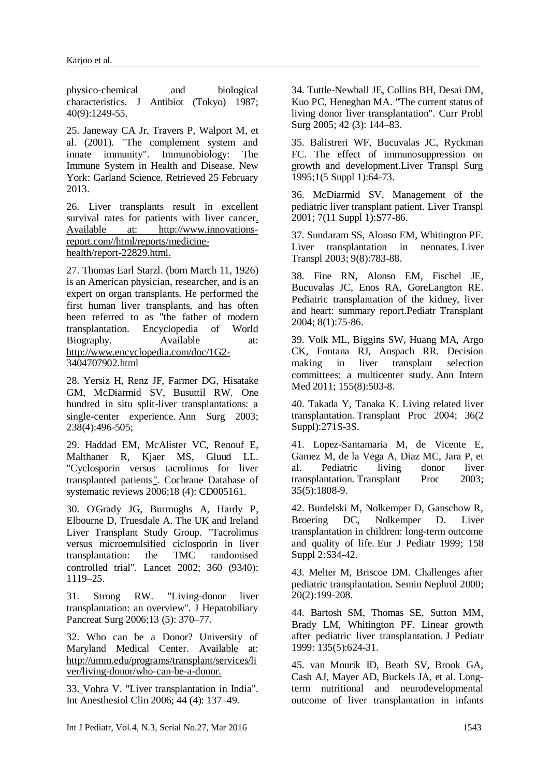physico-chemical and biological characteristics. [J Antibiot \(Tokyo\)](http://www.ncbi.nlm.nih.gov/pubmed/2445721) 1987; 40(9):1249-55.

25. Janeway CA Jr, Travers P, Walport M, et al. (2001). ["The complement system and](http://www.ncbi.nlm.nih.gov/books/NBK27100)  [innate immunity".](http://www.ncbi.nlm.nih.gov/books/NBK27100) Immunobiology: The Immune System in Health and Disease. New York: Garland Science. Retrieved 25 February 2013.

26. Liver transplants result in excellent survival rates for patients with liver cancer. Available at: http://www.innovationsreport.com//html/reports/medicinehealth/report-22829.html.

27. Thomas Earl Starzl. (born March 11, 1926) is an [American physician,](https://en.wikipedia.org/wiki/Health_care_in_the_United_States) [researcher,](https://en.wikipedia.org/wiki/Medical_research) and is an expert on [organ transplants.](https://en.wikipedia.org/wiki/Organ_transplant) He performed the first [human liver](https://en.wikipedia.org/wiki/Human_liver) transplants, and has often been referred to as "the father of modern transplantation. Encyclopedia of World<br>Biography. Available at: Biography. Available at: http://www.encyclopedia.com/doc/1G2- 3404707902.html

28. Yersiz H, Renz JF, Farmer DG, Hisatake GM, McDiarmid SV, Busuttil RW. One hundred in situ split-liver transplantations: a single-center experience. Ann Surg 2003; 238(4):496-505;

29. Haddad EM, McAlister VC, Renouf E, Malthaner R, Kjaer MS, Gluud LL. ["Cyclosporin versus tacrolimus for liver](http://ir.lib.uwo.ca/cgi/viewcontent.cgi?article=1027&context=surgerypub) [transplanted patients](http://ir.lib.uwo.ca/cgi/viewcontent.cgi?article=1027&context=surgerypub)*"*. Cochrane Database of systematic reviews 2006;18 (4): CD005161.

30. O'Grady JG, Burroughs A, Hardy P, Elbourne D, Truesdale A. The UK and Ireland Liver Transplant Study Group. "Tacrolimus versus microemulsified ciclosporin in liver transplantation: the TMC randomised controlled trial". Lancet 2002; 360 (9340): 1119–25.

31. Strong RW. "Living-donor liver transplantation: an overview". J Hepatobiliary Pancreat Surg 2006;13 (5): 370–77.

32. [Who can be a Donor? University of](http://www.umm.edu/transplant/liver_donor.htm)  [Maryland Medical Center.](http://www.umm.edu/transplant/liver_donor.htm) Available at: http://umm.edu/programs/transplant/services/li ver/living-donor/who-can-be-a-donor.

33. Vohra V. "Liver transplantation in India". Int Anesthesiol Clin 2006; 44 (4): 137–49.

34. Tuttle-Newhall JE, Collins BH, Desai DM, Kuo PC, Heneghan MA. "The current status of living donor liver transplantation". Curr Probl Surg 2005; 42 (3): 144–83.

35. Balistreri WF, Bucuvalas JC, Ryckman FC. The effect of immunosuppression on growth and development.Liver Transpl Surg 1995;1(5 Suppl 1):64-73.

36. McDiarmid SV. Management of the pediatric liver transplant patient. Liver Transpl 2001; 7(11 Suppl 1):S77-86.

37. Sundaram SS, Alonso EM, Whitington PF. Liver transplantation in neonates. Liver Transpl 2003; 9(8):783-88.

38. Fine RN, Alonso EM, Fischel JE, Bucuvalas JC, Enos RA, GoreLangton RE. Pediatric transplantation of the kidney, liver and heart: summary report.Pediatr Transplant 2004; 8(1):75-86.

39. Volk ML, Biggins SW, Huang MA, Argo CK, Fontana RJ, Anspach RR. Decision making in liver transplant selection committees: a multicenter study. Ann Intern Med 2011; 155(8):503-8.

40. Takada Y, Tanaka K. Living related liver transplantation. Transplant Proc 2004; 36(2 Suppl):271S-3S.

41. Lopez-Santamaria M, de Vicente E, Gamez M, de la Vega A, Diaz MC, Jara P, et al. Pediatric living donor liver transplantation. Transplant Proc 2003; 35(5):1808-9.

42. Burdelski M, Nolkemper D, Ganschow R, Broering DC, Nolkemper D. Liver transplantation in children: long-term outcome and quality of life. Eur J Pediatr 1999; 158 Suppl 2:S34-42.

43. Melter M, Briscoe DM. Challenges after pediatric transplantation. Semin Nephrol 2000; 20(2):199-208.

44. Bartosh SM, Thomas SE, Sutton MM, Brady LM, Whitington PF. Linear growth after pediatric liver transplantation. J Pediatr 1999: 135(5):624-31.

45. van Mourik ID, Beath SV, Brook GA, Cash AJ, Mayer AD, Buckels JA, et al. Longterm nutritional and neurodevelopmental outcome of liver transplantation in infants